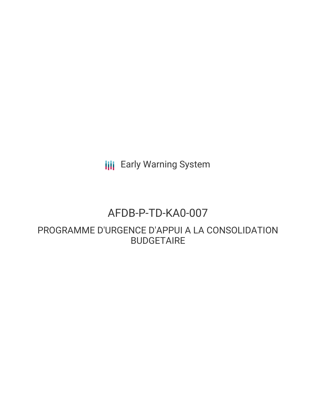**III** Early Warning System

# AFDB-P-TD-KA0-007

PROGRAMME D'URGENCE D'APPUI A LA CONSOLIDATION BUDGETAIRE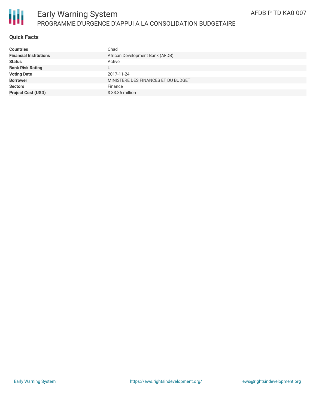

# **Quick Facts**

| <b>Countries</b>              | Chad                                |
|-------------------------------|-------------------------------------|
| <b>Financial Institutions</b> | African Development Bank (AFDB)     |
| <b>Status</b>                 | Active                              |
| <b>Bank Risk Rating</b>       |                                     |
| <b>Voting Date</b>            | 2017-11-24                          |
| <b>Borrower</b>               | MINISTERE DES FINANCES ET DU BUDGET |
| <b>Sectors</b>                | Finance                             |
| <b>Project Cost (USD)</b>     | $$33.35$ million                    |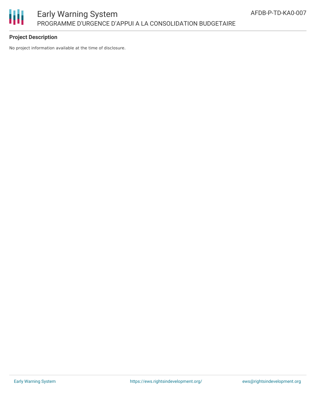

## **Project Description**

No project information available at the time of disclosure.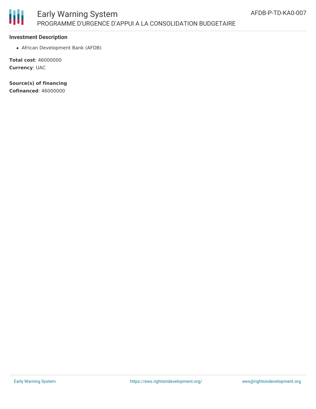

### **Investment Description**

African Development Bank (AFDB)

**Total cost**: 46000000 **Currency**: UAC

**Source(s) of financing Cofinanced**: 46000000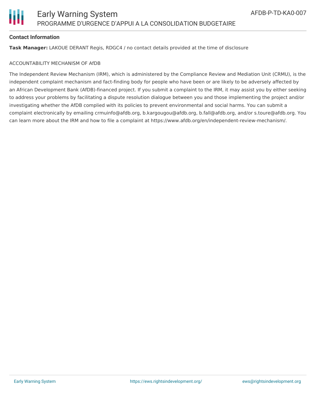

#### **Contact Information**

**Task Manager:** LAKOUE DERANT Regis, RDGC4 / no contact details provided at the time of disclosure

#### ACCOUNTABILITY MECHANISM OF AfDB

The Independent Review Mechanism (IRM), which is administered by the Compliance Review and Mediation Unit (CRMU), is the independent complaint mechanism and fact-finding body for people who have been or are likely to be adversely affected by an African Development Bank (AfDB)-financed project. If you submit a complaint to the IRM, it may assist you by either seeking to address your problems by facilitating a dispute resolution dialogue between you and those implementing the project and/or investigating whether the AfDB complied with its policies to prevent environmental and social harms. You can submit a complaint electronically by emailing crmuinfo@afdb.org, b.kargougou@afdb.org, b.fall@afdb.org, and/or s.toure@afdb.org. You can learn more about the IRM and how to file a complaint at https://www.afdb.org/en/independent-review-mechanism/.